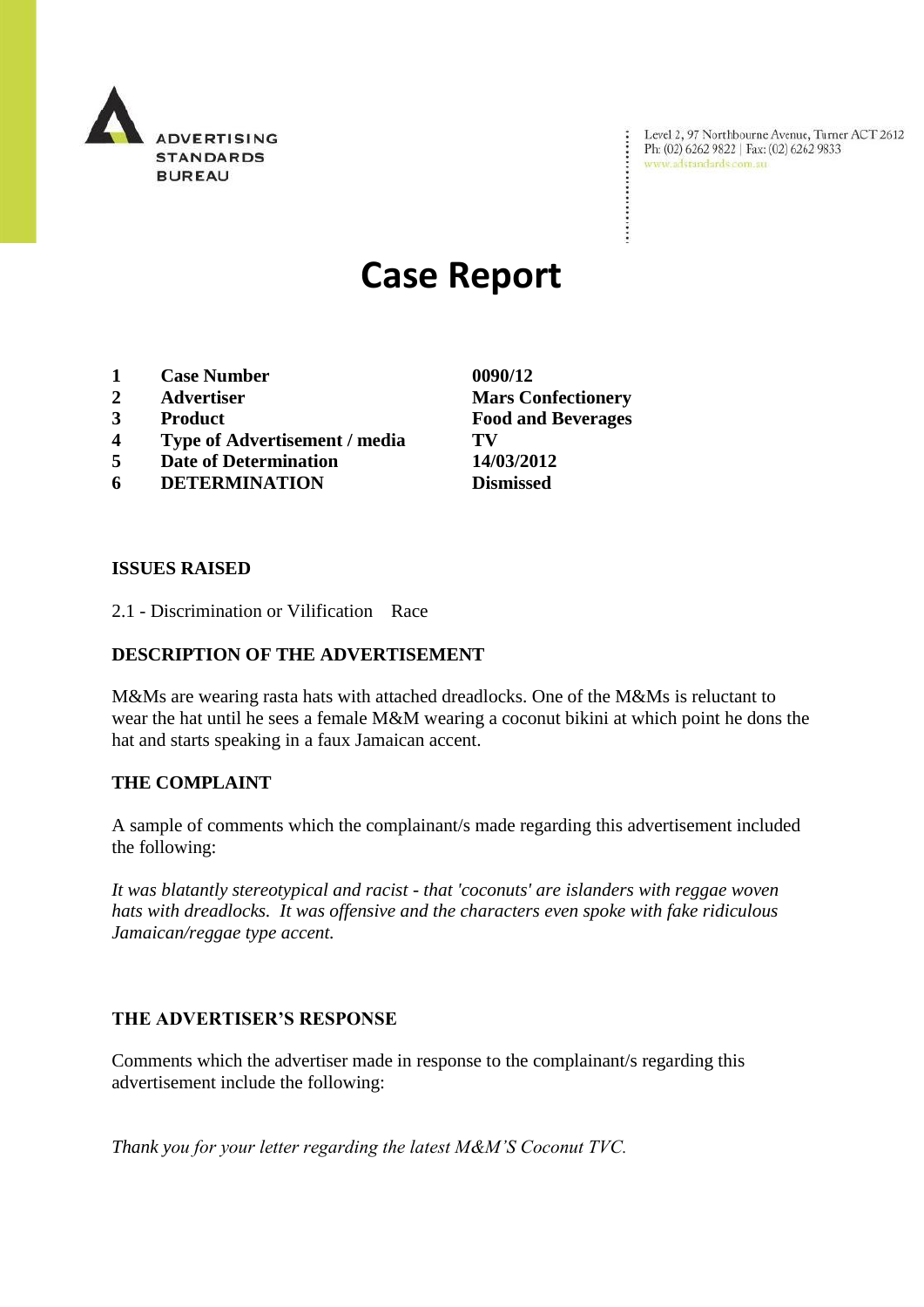

Level 2, 97 Northbourne Avenue, Turner ACT 2612<br>Ph: (02) 6262 9822 | Fax: (02) 6262 9833<br>www.adstandards.com.au

# **Case Report**

- **1 Case Number 0090/12**
- 
- 
- **4 Type of Advertisement / media TV**
- **5 Date of Determination 14/03/2012**
- **6 DETERMINATION Dismissed**

**ISSUES RAISED**

2.1 - Discrimination or Vilification Race

### **DESCRIPTION OF THE ADVERTISEMENT**

M&Ms are wearing rasta hats with attached dreadlocks. One of the M&Ms is reluctant to wear the hat until he sees a female M&M wearing a coconut bikini at which point he dons the hat and starts speaking in a faux Jamaican accent.

#### **THE COMPLAINT**

A sample of comments which the complainant/s made regarding this advertisement included the following:

*It was blatantly stereotypical and racist - that 'coconuts' are islanders with reggae woven hats with dreadlocks. It was offensive and the characters even spoke with fake ridiculous Jamaican/reggae type accent.*

#### **THE ADVERTISER'S RESPONSE**

Comments which the advertiser made in response to the complainant/s regarding this advertisement include the following:

*Thank you for your letter regarding the latest M&M'S Coconut TVC.*

**2 Advertiser Mars Confectionery 3 Product Food and Beverages**

÷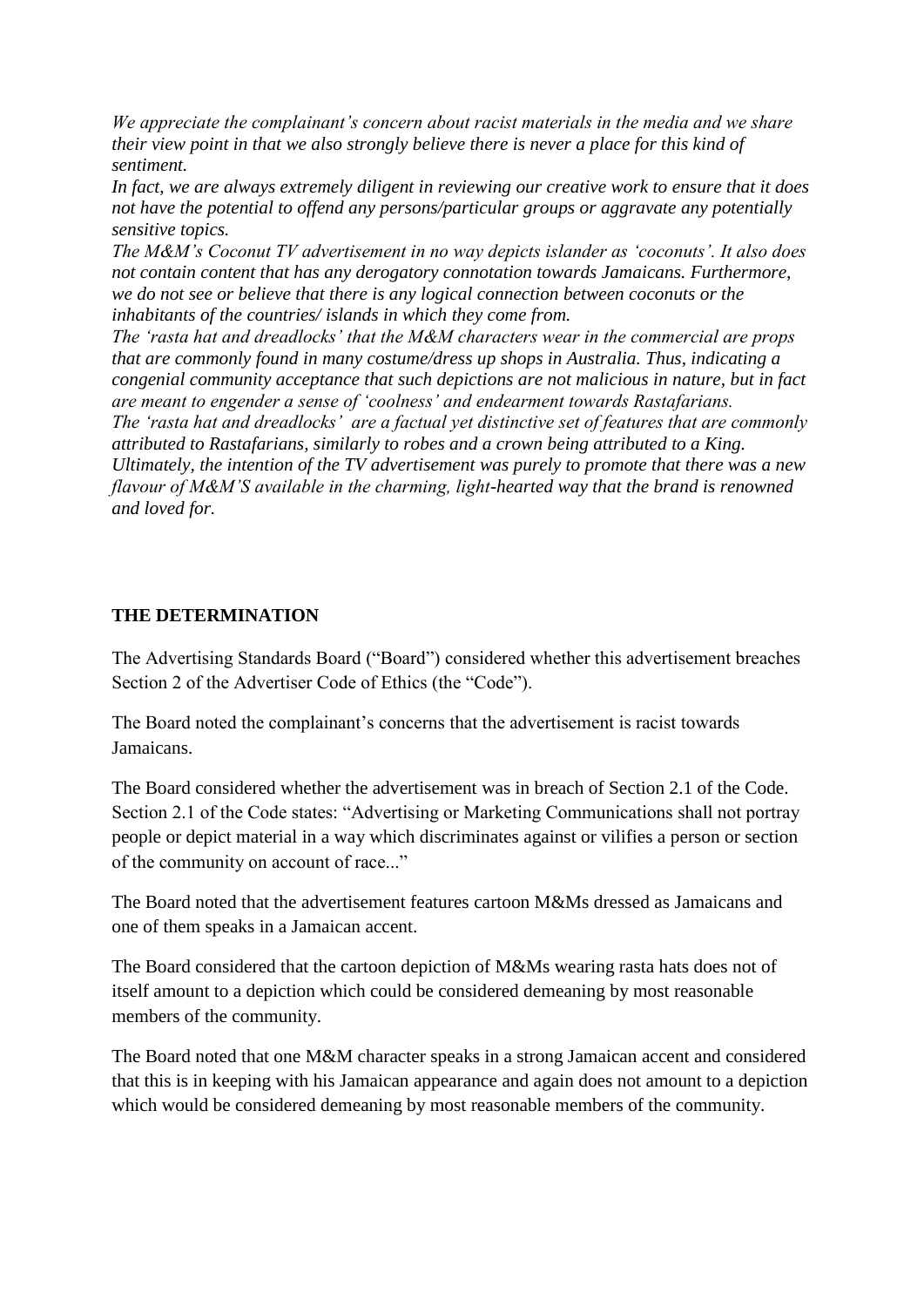*We appreciate the complainant's concern about racist materials in the media and we share their view point in that we also strongly believe there is never a place for this kind of sentiment.* 

*In fact, we are always extremely diligent in reviewing our creative work to ensure that it does not have the potential to offend any persons/particular groups or aggravate any potentially sensitive topics.*

*The M&M's Coconut TV advertisement in no way depicts islander as 'coconuts'. It also does not contain content that has any derogatory connotation towards Jamaicans. Furthermore, we do not see or believe that there is any logical connection between coconuts or the inhabitants of the countries/ islands in which they come from.*

*The 'rasta hat and dreadlocks' that the M&M characters wear in the commercial are props that are commonly found in many costume/dress up shops in Australia. Thus, indicating a congenial community acceptance that such depictions are not malicious in nature, but in fact are meant to engender a sense of 'coolness' and endearment towards Rastafarians. The 'rasta hat and dreadlocks' are a factual yet distinctive set of features that are commonly attributed to Rastafarians, similarly to robes and a crown being attributed to a King. Ultimately, the intention of the TV advertisement was purely to promote that there was a new flavour of M&M'S available in the charming, light-hearted way that the brand is renowned and loved for.*

## **THE DETERMINATION**

The Advertising Standards Board ("Board") considered whether this advertisement breaches Section 2 of the Advertiser Code of Ethics (the "Code").

The Board noted the complainant's concerns that the advertisement is racist towards Jamaicans.

The Board considered whether the advertisement was in breach of Section 2.1 of the Code. Section 2.1 of the Code states: "Advertising or Marketing Communications shall not portray people or depict material in a way which discriminates against or vilifies a person or section of the community on account of race..."

The Board noted that the advertisement features cartoon M&Ms dressed as Jamaicans and one of them speaks in a Jamaican accent.

The Board considered that the cartoon depiction of M&Ms wearing rasta hats does not of itself amount to a depiction which could be considered demeaning by most reasonable members of the community.

The Board noted that one M&M character speaks in a strong Jamaican accent and considered that this is in keeping with his Jamaican appearance and again does not amount to a depiction which would be considered demeaning by most reasonable members of the community.